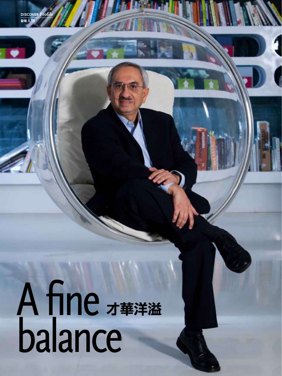## **discover Profile** 發現人物

## A fine. balance 才華洋溢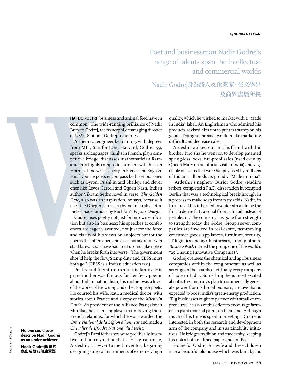Poet and businessman Nadir Godrej's range of talents span the intellectual and commercial worlds

Nadir Godrej身為詩人及企業家,在文學界 及商界盡展所長

**HAT DO POETRY,** business and animal feed have in common? The wide-ranging brilliance of Nadir Burjorji Godrej, the francophile managing director of US\$2.6 billion Godrej Industries.

A chemical engineer by training, with degrees from MIT, Stanford and Harvard, Godrej, 59, speaks six languages, thinks in French, plays competitive bridge, discusses mathematician Ramanujam's highly composite numbers with his son Hormazd and writes poetry, in French and English. His favourite poets encompass both serious ones such as Byron, Pushkin and Shelley, and clever ones like Lewis Carroll and Ogden Nash. Indian author Vikram Seth's novel in verse, *The Golden Gate*, also was an inspiration, he says, because it uses the Onegin stanza, a rhyme in iambic tetrameter made famous by Pushkin's *Eugene Onegin*.

Godrej uses poetry not just for his own edification but also in business; his speeches at conferences are eagerly awaited, not just for the force and clarity of his views on subjects but for the poems that often open and close his address. Even staid bureaucrats have had to sit up and take notice when he breaks forth into verse: "The government should help the flow/Stamp duty and CESS must both go." (CESS is a Indian education tax.)

Poetry and literature run in his family. His grandmother was famous for her fiery poems about Indian nationalism; his mother was a lover of the works of Browning and other English poets. He courted his wife, Rati, a medical doctor, with stories about France and a copy of the *Michelin Guide*. As president of the Alliance Française in Mumbai, he is a major player in improving Indo-French relations, for which he was awarded the *Ordre National de la Légion d'honneur* and made a *Chevalier de L'Ordre National du Mérite*.

Godrej's Parsi forbearers were prolifically inventive and fiercely nationalistic. His great-uncle, Ardeshir, a lawyer turned inventor, began by designing surgical instruments of extremely high quality, which he wished to market with a "Made in India" label. An Englishman who admired his products advised him not to put that stamp on his goods. Doing so, he said, would make marketing difficult and decrease sales.

Ardeshir walked out in a huff and with his brother Pirojsha he went on to develop patented spring-less locks, fire-proof safes (used even by Queen Mary on an official visit to India) and vegetable oil soaps that were happily used by millions of Indians, all products proudly "Made in India".

 Ardeshir's nephew, Burjor Godrej (Nadir's father), completed a Ph.D. dissertation in occupied Berlin that was a technological breakthrough in a process to make soap from fatty acids. Nadir, in turn, used his inherited inventor streak to be the first to derive fatty alcohol from palm oil instead of petroleum. The company has gone from strength to strength: today, the Godrej Group's seven companies are involved in real estate, fast-moving consumer goods, appliances, furniture, security, IT logistics and agribusinesses, among others. *BusinessWeek* named the group one of the world's "25 Unsung Innovative Companies".

Godrej oversees the chemical and agribusiness companies within the conglomerate as well as serving on the boards of virtually every company of note in India. Something he is most excited about is the company's plan to commercially generate power from palm oil biomass, a move that is expected to boost India's green-energy production. "Big businesses ought to partner with small entrepreneurs," he says of this effort to encourage farmers to plant more oil palms on their land. Although much of his time is spent in meetings, Godrej is interested in both the research and development arm of the company and in sustainability initiatives. He bridges tradition and modernity, keeping his notes both on lined paper and an iPad.

Home for Godrej, his wife and three children is in a beautiful old house which was built by his

**No one could ever describe Nadir Godrej as an under-achiever** 

**Nadir Godrej**取得的 傑出成就乃無庸置疑